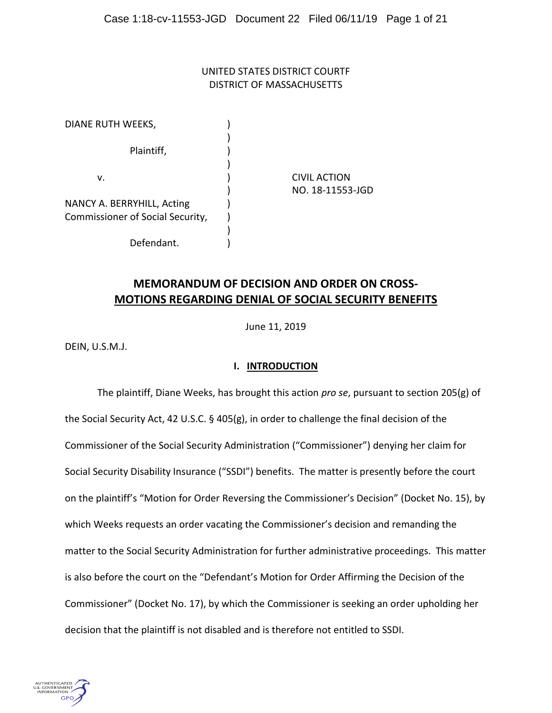# UNITED STATES DISTRICT COURTF DISTRICT OF MASSACHUSETTS

| DIANE RUTH WEEKS,                |                     |
|----------------------------------|---------------------|
| Plaintiff,                       |                     |
| v.                               | <b>CIVIL ACTION</b> |
|                                  | NO. 18-11553-JGD    |
| NANCY A. BERRYHILL, Acting       |                     |
| Commissioner of Social Security, |                     |
|                                  |                     |
| Defendant.                       |                     |

# **MEMORANDUM OF DECISION AND ORDER ON CROSS-MOTIONS REGARDING DENIAL OF SOCIAL SECURITY BENEFITS**

June 11, 2019

DEIN, U.S.M.J.

# **I. INTRODUCTION**

The plaintiff, Diane Weeks, has brought this action *pro se*, pursuant to section 205(g) of the Social Security Act, 42 U.S.C. § 405(g), in order to challenge the final decision of the Commissioner of the Social Security Administration ("Commissioner") denying her claim for Social Security Disability Insurance ("SSDI") benefits. The matter is presently before the court on the plaintiff's "Motion for Order Reversing the Commissioner's Decision" (Docket No. 15), by which Weeks requests an order vacating the Commissioner's decision and remanding the matter to the Social Security Administration for further administrative proceedings. This matter is also before the court on the "Defendant's Motion for Order Affirming the Decision of the Commissioner" (Docket No. 17), by which the Commissioner is seeking an order upholding her decision that the plaintiff is not disabled and is therefore not entitled to SSDI.

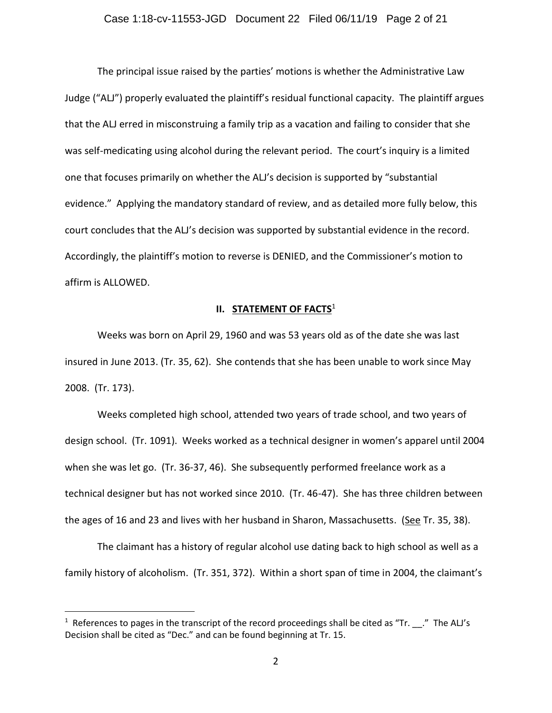The principal issue raised by the parties' motions is whether the Administrative Law Judge ("ALJ") properly evaluated the plaintiff's residual functional capacity. The plaintiff argues that the ALJ erred in misconstruing a family trip as a vacation and failing to consider that she was self-medicating using alcohol during the relevant period. The court's inquiry is a limited one that focuses primarily on whether the ALJ's decision is supported by "substantial evidence." Applying the mandatory standard of review, and as detailed more fully below, this court concludes that the ALJ's decision was supported by substantial evidence in the record. Accordingly, the plaintiff's motion to reverse is DENIED, and the Commissioner's motion to affirm is ALLOWED.

## **II. STATEMENT OF FACTS**<sup>1</sup>

Weeks was born on April 29, 1960 and was 53 years old as of the date she was last insured in June 2013. (Tr. 35, 62). She contends that she has been unable to work since May 2008. (Tr. 173).

Weeks completed high school, attended two years of trade school, and two years of design school. (Tr. 1091). Weeks worked as a technical designer in women's apparel until 2004 when she was let go. (Tr. 36-37, 46). She subsequently performed freelance work as a technical designer but has not worked since 2010. (Tr. 46-47). She has three children between the ages of 16 and 23 and lives with her husband in Sharon, Massachusetts. (See Tr. 35, 38).

The claimant has a history of regular alcohol use dating back to high school as well as a family history of alcoholism. (Tr. 351, 372). Within a short span of time in 2004, the claimant's

 $\overline{a}$ 

<sup>&</sup>lt;sup>1</sup> References to pages in the transcript of the record proceedings shall be cited as "Tr.  $\_\_\cdot$ " The ALJ's Decision shall be cited as "Dec." and can be found beginning at Tr. 15.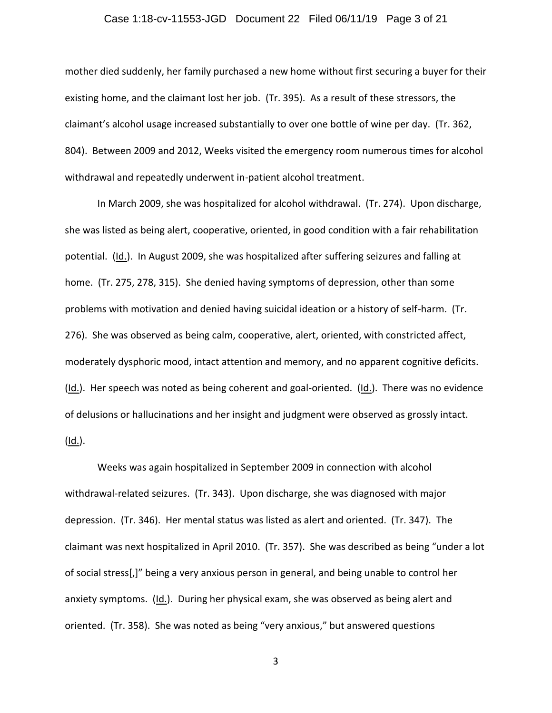## Case 1:18-cv-11553-JGD Document 22 Filed 06/11/19 Page 3 of 21

mother died suddenly, her family purchased a new home without first securing a buyer for their existing home, and the claimant lost her job. (Tr. 395). As a result of these stressors, the claimant's alcohol usage increased substantially to over one bottle of wine per day. (Tr. 362, 804). Between 2009 and 2012, Weeks visited the emergency room numerous times for alcohol withdrawal and repeatedly underwent in-patient alcohol treatment.

In March 2009, she was hospitalized for alcohol withdrawal. (Tr. 274). Upon discharge, she was listed as being alert, cooperative, oriented, in good condition with a fair rehabilitation potential. (Id.). In August 2009, she was hospitalized after suffering seizures and falling at home. (Tr. 275, 278, 315). She denied having symptoms of depression, other than some problems with motivation and denied having suicidal ideation or a history of self-harm. (Tr. 276). She was observed as being calm, cooperative, alert, oriented, with constricted affect, moderately dysphoric mood, intact attention and memory, and no apparent cognitive deficits.  $(ld.)$ . Her speech was noted as being coherent and goal-oriented.  $(ld.)$ . There was no evidence of delusions or hallucinations and her insight and judgment were observed as grossly intact.  $(Id.)$ .

Weeks was again hospitalized in September 2009 in connection with alcohol withdrawal-related seizures. (Tr. 343). Upon discharge, she was diagnosed with major depression. (Tr. 346). Her mental status was listed as alert and oriented. (Tr. 347). The claimant was next hospitalized in April 2010. (Tr. 357). She was described as being "under a lot of social stress[,]" being a very anxious person in general, and being unable to control her anxiety symptoms. (Id.). During her physical exam, she was observed as being alert and oriented. (Tr. 358). She was noted as being "very anxious," but answered questions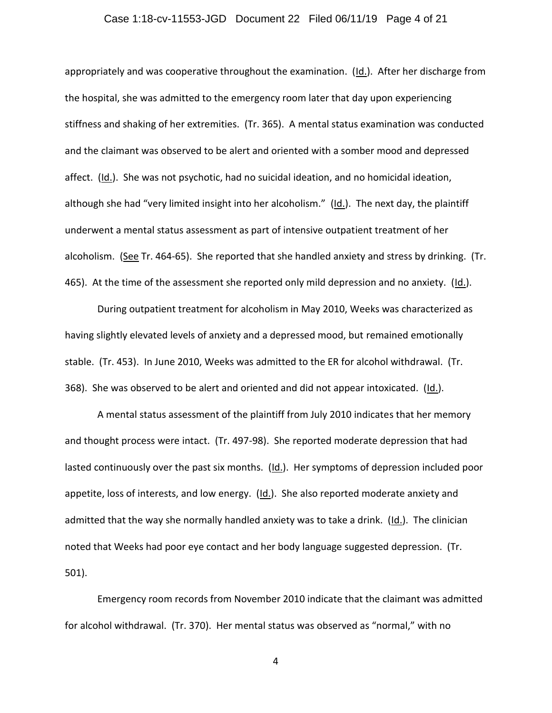## Case 1:18-cv-11553-JGD Document 22 Filed 06/11/19 Page 4 of 21

appropriately and was cooperative throughout the examination. (Id.). After her discharge from the hospital, she was admitted to the emergency room later that day upon experiencing stiffness and shaking of her extremities. (Tr. 365). A mental status examination was conducted and the claimant was observed to be alert and oriented with a somber mood and depressed affect. (Id.). She was not psychotic, had no suicidal ideation, and no homicidal ideation, although she had "very limited insight into her alcoholism." (Id.). The next day, the plaintiff underwent a mental status assessment as part of intensive outpatient treatment of her alcoholism. (See Tr. 464-65). She reported that she handled anxiety and stress by drinking. (Tr. 465). At the time of the assessment she reported only mild depression and no anxiety. (Id.).

During outpatient treatment for alcoholism in May 2010, Weeks was characterized as having slightly elevated levels of anxiety and a depressed mood, but remained emotionally stable. (Tr. 453). In June 2010, Weeks was admitted to the ER for alcohol withdrawal. (Tr. 368). She was observed to be alert and oriented and did not appear intoxicated. (Id.).

A mental status assessment of the plaintiff from July 2010 indicates that her memory and thought process were intact. (Tr. 497-98). She reported moderate depression that had lasted continuously over the past six months. (Id.). Her symptoms of depression included poor appetite, loss of interests, and low energy. (Id.). She also reported moderate anxiety and admitted that the way she normally handled anxiety was to take a drink. (Id.). The clinician noted that Weeks had poor eye contact and her body language suggested depression. (Tr. 501).

Emergency room records from November 2010 indicate that the claimant was admitted for alcohol withdrawal. (Tr. 370). Her mental status was observed as "normal," with no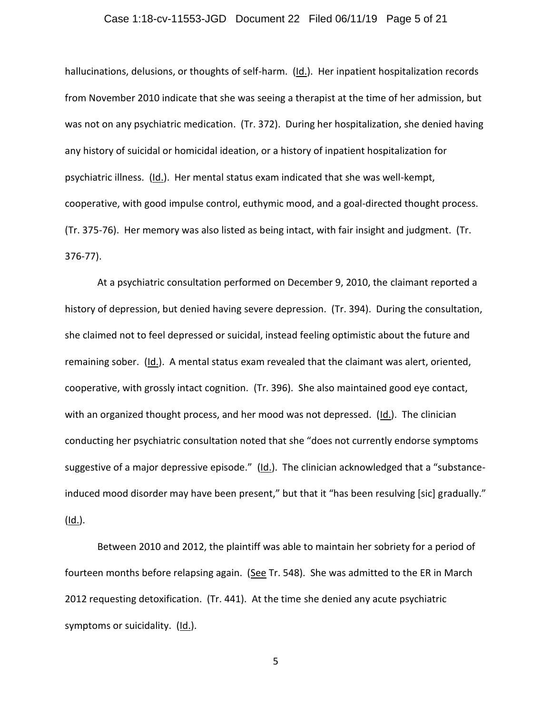## Case 1:18-cv-11553-JGD Document 22 Filed 06/11/19 Page 5 of 21

hallucinations, delusions, or thoughts of self-harm. (Id.). Her inpatient hospitalization records from November 2010 indicate that she was seeing a therapist at the time of her admission, but was not on any psychiatric medication. (Tr. 372). During her hospitalization, she denied having any history of suicidal or homicidal ideation, or a history of inpatient hospitalization for psychiatric illness. (Id.). Her mental status exam indicated that she was well-kempt, cooperative, with good impulse control, euthymic mood, and a goal-directed thought process. (Tr. 375-76). Her memory was also listed as being intact, with fair insight and judgment. (Tr. 376-77).

At a psychiatric consultation performed on December 9, 2010, the claimant reported a history of depression, but denied having severe depression. (Tr. 394). During the consultation, she claimed not to feel depressed or suicidal, instead feeling optimistic about the future and remaining sober. (Id.). A mental status exam revealed that the claimant was alert, oriented, cooperative, with grossly intact cognition. (Tr. 396). She also maintained good eye contact, with an organized thought process, and her mood was not depressed.  $(ld)$ . The clinician conducting her psychiatric consultation noted that she "does not currently endorse symptoms suggestive of a major depressive episode." (Id.). The clinician acknowledged that a "substanceinduced mood disorder may have been present," but that it "has been resulving [sic] gradually."  $(Id.)$ .

Between 2010 and 2012, the plaintiff was able to maintain her sobriety for a period of fourteen months before relapsing again. (See Tr. 548). She was admitted to the ER in March 2012 requesting detoxification. (Tr. 441). At the time she denied any acute psychiatric symptoms or suicidality. (Id.).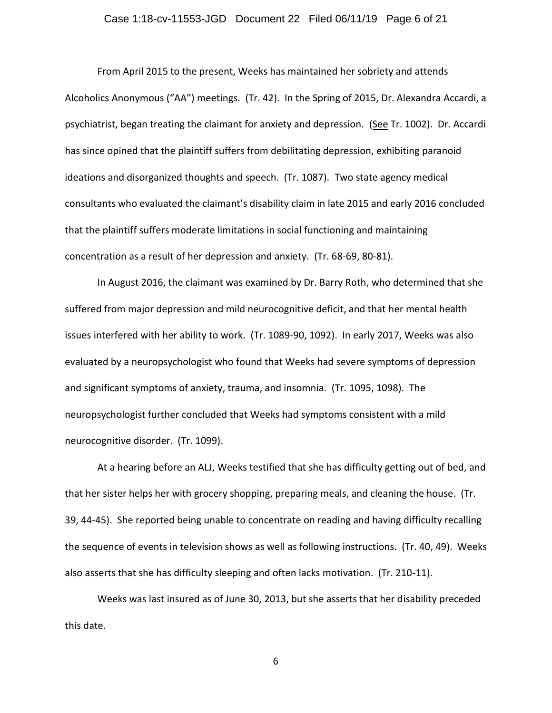## Case 1:18-cv-11553-JGD Document 22 Filed 06/11/19 Page 6 of 21

From April 2015 to the present, Weeks has maintained her sobriety and attends Alcoholics Anonymous ("AA") meetings. (Tr. 42). In the Spring of 2015, Dr. Alexandra Accardi, a psychiatrist, began treating the claimant for anxiety and depression. (See Tr. 1002). Dr. Accardi has since opined that the plaintiff suffers from debilitating depression, exhibiting paranoid ideations and disorganized thoughts and speech. (Tr. 1087). Two state agency medical consultants who evaluated the claimant's disability claim in late 2015 and early 2016 concluded that the plaintiff suffers moderate limitations in social functioning and maintaining concentration as a result of her depression and anxiety. (Tr. 68-69, 80-81).

In August 2016, the claimant was examined by Dr. Barry Roth, who determined that she suffered from major depression and mild neurocognitive deficit, and that her mental health issues interfered with her ability to work. (Tr. 1089-90, 1092). In early 2017, Weeks was also evaluated by a neuropsychologist who found that Weeks had severe symptoms of depression and significant symptoms of anxiety, trauma, and insomnia. (Tr. 1095, 1098). The neuropsychologist further concluded that Weeks had symptoms consistent with a mild neurocognitive disorder. (Tr. 1099).

At a hearing before an ALJ, Weeks testified that she has difficulty getting out of bed, and that her sister helps her with grocery shopping, preparing meals, and cleaning the house. (Tr. 39, 44-45). She reported being unable to concentrate on reading and having difficulty recalling the sequence of events in television shows as well as following instructions. (Tr. 40, 49). Weeks also asserts that she has difficulty sleeping and often lacks motivation. (Tr. 210-11).

Weeks was last insured as of June 30, 2013, but she asserts that her disability preceded this date.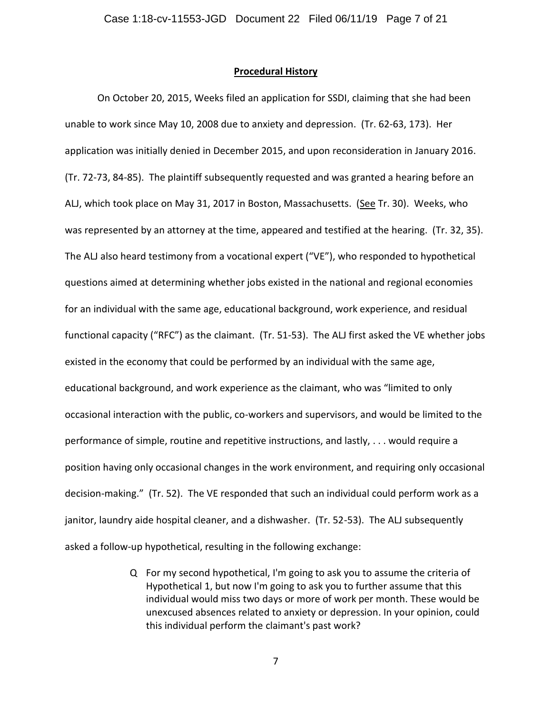#### **Procedural History**

On October 20, 2015, Weeks filed an application for SSDI, claiming that she had been unable to work since May 10, 2008 due to anxiety and depression. (Tr. 62-63, 173). Her application was initially denied in December 2015, and upon reconsideration in January 2016. (Tr. 72-73, 84-85). The plaintiff subsequently requested and was granted a hearing before an ALJ, which took place on May 31, 2017 in Boston, Massachusetts. (See Tr. 30). Weeks, who was represented by an attorney at the time, appeared and testified at the hearing. (Tr. 32, 35). The ALJ also heard testimony from a vocational expert ("VE"), who responded to hypothetical questions aimed at determining whether jobs existed in the national and regional economies for an individual with the same age, educational background, work experience, and residual functional capacity ("RFC") as the claimant. (Tr. 51-53). The ALJ first asked the VE whether jobs existed in the economy that could be performed by an individual with the same age, educational background, and work experience as the claimant, who was "limited to only occasional interaction with the public, co-workers and supervisors, and would be limited to the performance of simple, routine and repetitive instructions, and lastly, . . . would require a position having only occasional changes in the work environment, and requiring only occasional decision-making." (Tr. 52). The VE responded that such an individual could perform work as a janitor, laundry aide hospital cleaner, and a dishwasher. (Tr. 52-53). The ALJ subsequently asked a follow-up hypothetical, resulting in the following exchange:

> Q For my second hypothetical, I'm going to ask you to assume the criteria of Hypothetical 1, but now I'm going to ask you to further assume that this individual would miss two days or more of work per month. These would be unexcused absences related to anxiety or depression. In your opinion, could this individual perform the claimant's past work?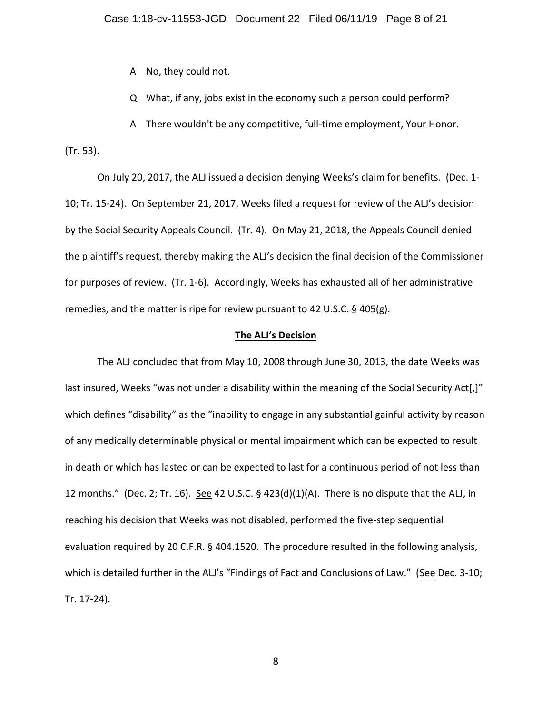A No, they could not.

Q What, if any, jobs exist in the economy such a person could perform?

A There wouldn't be any competitive, full-time employment, Your Honor.

(Tr. 53).

On July 20, 2017, the ALJ issued a decision denying Weeks's claim for benefits. (Dec. 1- 10; Tr. 15-24). On September 21, 2017, Weeks filed a request for review of the ALJ's decision by the Social Security Appeals Council. (Tr. 4). On May 21, 2018, the Appeals Council denied the plaintiff's request, thereby making the ALJ's decision the final decision of the Commissioner for purposes of review. (Tr. 1-6). Accordingly, Weeks has exhausted all of her administrative remedies, and the matter is ripe for review pursuant to 42 U.S.C. § 405(g).

#### **The ALJ's Decision**

The ALJ concluded that from May 10, 2008 through June 30, 2013, the date Weeks was last insured, Weeks "was not under a disability within the meaning of the Social Security Act[,]" which defines "disability" as the "inability to engage in any substantial gainful activity by reason of any medically determinable physical or mental impairment which can be expected to result in death or which has lasted or can be expected to last for a continuous period of not less than 12 months." (Dec. 2; Tr. 16). See 42 U.S.C. § 423(d)(1)(A). There is no dispute that the ALJ, in reaching his decision that Weeks was not disabled, performed the five-step sequential evaluation required by 20 C.F.R. § 404.1520. The procedure resulted in the following analysis, which is detailed further in the ALJ's "Findings of Fact and Conclusions of Law." (See Dec. 3-10; Tr. 17-24).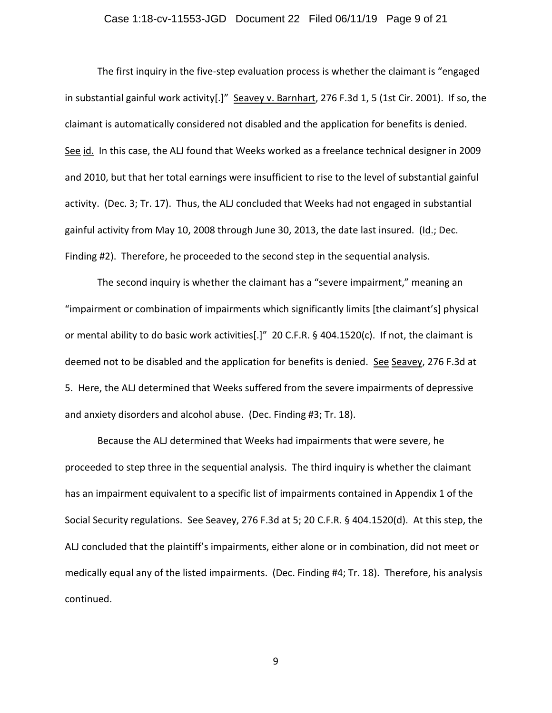## Case 1:18-cv-11553-JGD Document 22 Filed 06/11/19 Page 9 of 21

The first inquiry in the five-step evaluation process is whether the claimant is "engaged in substantial gainful work activity[.]" Seavey v. Barnhart, 276 F.3d 1, 5 (1st Cir. 2001). If so, the claimant is automatically considered not disabled and the application for benefits is denied. See id. In this case, the ALJ found that Weeks worked as a freelance technical designer in 2009 and 2010, but that her total earnings were insufficient to rise to the level of substantial gainful activity. (Dec. 3; Tr. 17). Thus, the ALJ concluded that Weeks had not engaged in substantial gainful activity from May 10, 2008 through June 30, 2013, the date last insured. (Id.; Dec. Finding #2). Therefore, he proceeded to the second step in the sequential analysis.

The second inquiry is whether the claimant has a "severe impairment," meaning an "impairment or combination of impairments which significantly limits [the claimant's] physical or mental ability to do basic work activities[.]" 20 C.F.R. § 404.1520(c). If not, the claimant is deemed not to be disabled and the application for benefits is denied. See Seavey, 276 F.3d at 5. Here, the ALJ determined that Weeks suffered from the severe impairments of depressive and anxiety disorders and alcohol abuse. (Dec. Finding #3; Tr. 18).

Because the ALJ determined that Weeks had impairments that were severe, he proceeded to step three in the sequential analysis. The third inquiry is whether the claimant has an impairment equivalent to a specific list of impairments contained in Appendix 1 of the Social Security regulations. See Seavey, 276 F.3d at 5; 20 C.F.R. § 404.1520(d). At this step, the ALJ concluded that the plaintiff's impairments, either alone or in combination, did not meet or medically equal any of the listed impairments. (Dec. Finding #4; Tr. 18). Therefore, his analysis continued.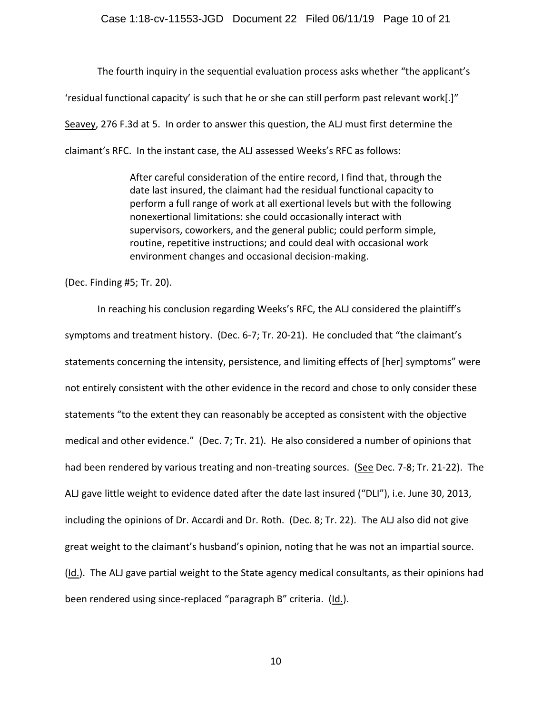The fourth inquiry in the sequential evaluation process asks whether "the applicant's 'residual functional capacity' is such that he or she can still perform past relevant work[.]" Seavey, 276 F.3d at 5. In order to answer this question, the ALJ must first determine the claimant's RFC. In the instant case, the ALJ assessed Weeks's RFC as follows:

> After careful consideration of the entire record, I find that, through the date last insured, the claimant had the residual functional capacity to perform a full range of work at all exertional levels but with the following nonexertional limitations: she could occasionally interact with supervisors, coworkers, and the general public; could perform simple, routine, repetitive instructions; and could deal with occasional work environment changes and occasional decision-making.

(Dec. Finding #5; Tr. 20).

In reaching his conclusion regarding Weeks's RFC, the ALJ considered the plaintiff's symptoms and treatment history. (Dec. 6-7; Tr. 20-21). He concluded that "the claimant's statements concerning the intensity, persistence, and limiting effects of [her] symptoms" were not entirely consistent with the other evidence in the record and chose to only consider these statements "to the extent they can reasonably be accepted as consistent with the objective medical and other evidence." (Dec. 7; Tr. 21). He also considered a number of opinions that had been rendered by various treating and non-treating sources. (See Dec. 7-8; Tr. 21-22). The ALJ gave little weight to evidence dated after the date last insured ("DLI"), i.e. June 30, 2013, including the opinions of Dr. Accardi and Dr. Roth. (Dec. 8; Tr. 22). The ALJ also did not give great weight to the claimant's husband's opinion, noting that he was not an impartial source. (Id.). The ALJ gave partial weight to the State agency medical consultants, as their opinions had been rendered using since-replaced "paragraph B" criteria. (Id.).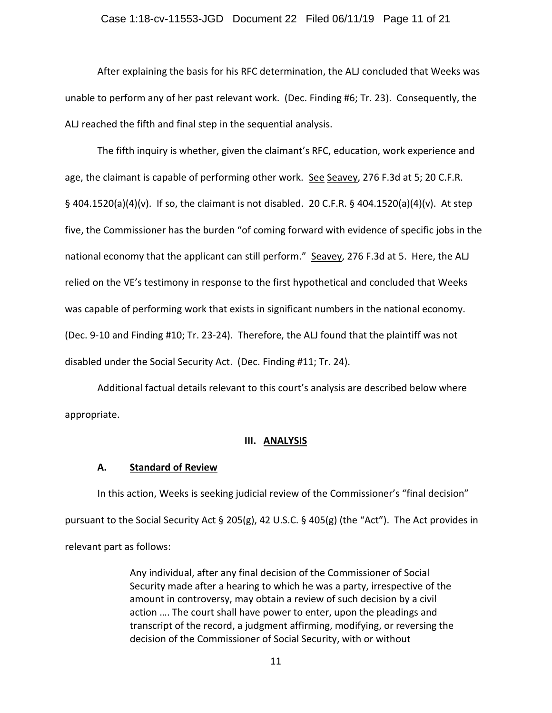#### Case 1:18-cv-11553-JGD Document 22 Filed 06/11/19 Page 11 of 21

After explaining the basis for his RFC determination, the ALJ concluded that Weeks was unable to perform any of her past relevant work. (Dec. Finding #6; Tr. 23). Consequently, the ALJ reached the fifth and final step in the sequential analysis.

The fifth inquiry is whether, given the claimant's RFC, education, work experience and age, the claimant is capable of performing other work. See Seavey, 276 F.3d at 5; 20 C.F.R. § 404.1520(a)(4)(v). If so, the claimant is not disabled. 20 C.F.R. § 404.1520(a)(4)(v). At step five, the Commissioner has the burden "of coming forward with evidence of specific jobs in the national economy that the applicant can still perform." Seavey, 276 F.3d at 5. Here, the ALJ relied on the VE's testimony in response to the first hypothetical and concluded that Weeks was capable of performing work that exists in significant numbers in the national economy. (Dec. 9-10 and Finding #10; Tr. 23-24). Therefore, the ALJ found that the plaintiff was not disabled under the Social Security Act. (Dec. Finding #11; Tr. 24).

Additional factual details relevant to this court's analysis are described below where appropriate.

## **III. ANALYSIS**

## **A. Standard of Review**

In this action, Weeks is seeking judicial review of the Commissioner's "final decision" pursuant to the Social Security Act § 205(g), 42 U.S.C. § 405(g) (the "Act"). The Act provides in relevant part as follows:

> Any individual, after any final decision of the Commissioner of Social Security made after a hearing to which he was a party, irrespective of the amount in controversy, may obtain a review of such decision by a civil action …. The court shall have power to enter, upon the pleadings and transcript of the record, a judgment affirming, modifying, or reversing the decision of the Commissioner of Social Security, with or without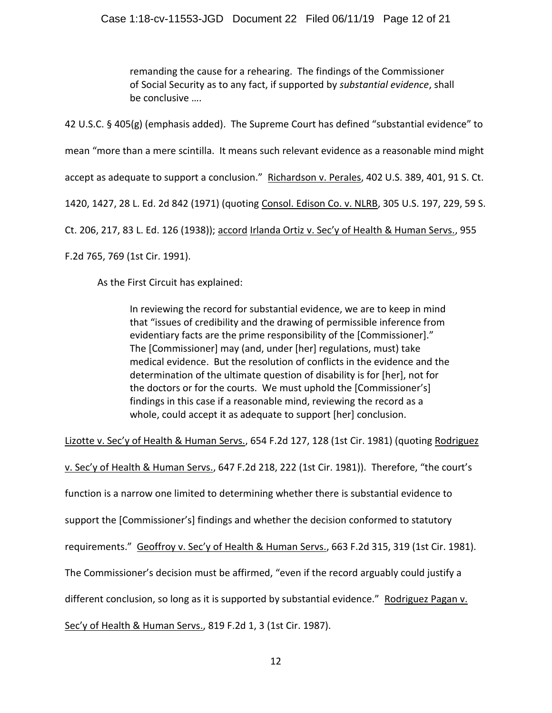remanding the cause for a rehearing. The findings of the Commissioner of Social Security as to any fact, if supported by *substantial evidence*, shall be conclusive ….

42 U.S.C. § 405(g) (emphasis added). The Supreme Court has defined "substantial evidence" to

mean "more than a mere scintilla. It means such relevant evidence as a reasonable mind might

accept as adequate to support a conclusion." Richardson v. Perales, 402 U.S. 389, 401, 91 S. Ct.

1420, 1427, 28 L. Ed. 2d 842 (1971) (quoting Consol. Edison Co. v. NLRB, 305 U.S. 197, 229, 59 S.

Ct. 206, 217, 83 L. Ed. 126 (1938)); accord Irlanda Ortiz v. Sec'y of Health & Human Servs., 955

F.2d 765, 769 (1st Cir. 1991).

As the First Circuit has explained:

In reviewing the record for substantial evidence, we are to keep in mind that "issues of credibility and the drawing of permissible inference from evidentiary facts are the prime responsibility of the [Commissioner]." The [Commissioner] may (and, under [her] regulations, must) take medical evidence. But the resolution of conflicts in the evidence and the determination of the ultimate question of disability is for [her], not for the doctors or for the courts. We must uphold the [Commissioner's] findings in this case if a reasonable mind, reviewing the record as a whole, could accept it as adequate to support [her] conclusion.

Lizotte v. Sec'y of Health & Human Servs., 654 F.2d 127, 128 (1st Cir. 1981) (quoting Rodriguez

v. Sec'y of Health & Human Servs., 647 F.2d 218, 222 (1st Cir. 1981)). Therefore, "the court's function is a narrow one limited to determining whether there is substantial evidence to support the [Commissioner's] findings and whether the decision conformed to statutory requirements." Geoffroy v. Sec'y of Health & Human Servs., 663 F.2d 315, 319 (1st Cir. 1981). The Commissioner's decision must be affirmed, "even if the record arguably could justify a different conclusion, so long as it is supported by substantial evidence." Rodriguez Pagan v. Sec'y of Health & Human Servs., 819 F.2d 1, 3 (1st Cir. 1987).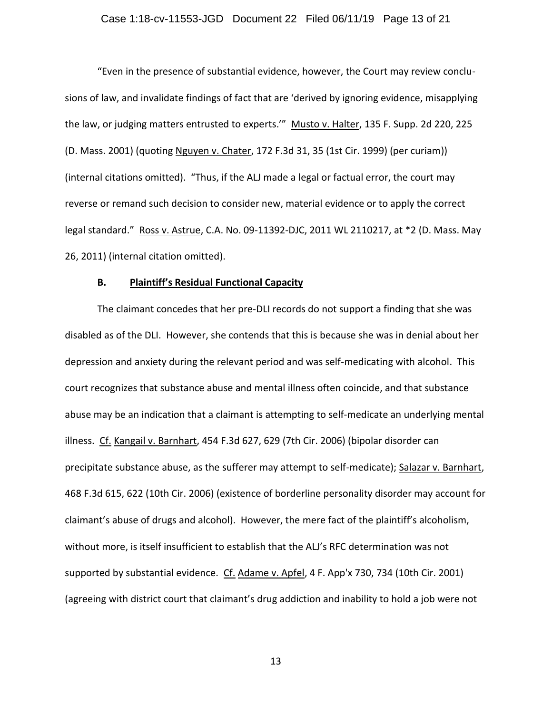"Even in the presence of substantial evidence, however, the Court may review conclusions of law, and invalidate findings of fact that are 'derived by ignoring evidence, misapplying the law, or judging matters entrusted to experts."" Musto v. Halter, 135 F. Supp. 2d 220, 225 (D. Mass. 2001) (quoting Nguyen v. Chater, 172 F.3d 31, 35 (1st Cir. 1999) (per curiam)) (internal citations omitted). "Thus, if the ALJ made a legal or factual error, the court may reverse or remand such decision to consider new, material evidence or to apply the correct legal standard." Ross v. Astrue, C.A. No. 09-11392-DJC, 2011 WL 2110217, at \*2 (D. Mass. May 26, 2011) (internal citation omitted).

#### **B. Plaintiff's Residual Functional Capacity**

The claimant concedes that her pre-DLI records do not support a finding that she was disabled as of the DLI. However, she contends that this is because she was in denial about her depression and anxiety during the relevant period and was self-medicating with alcohol. This court recognizes that substance abuse and mental illness often coincide, and that substance abuse may be an indication that a claimant is attempting to self-medicate an underlying mental illness. Cf. Kangail v. Barnhart, 454 F.3d 627, 629 (7th Cir. 2006) (bipolar disorder can precipitate substance abuse, as the sufferer may attempt to self-medicate); Salazar v. Barnhart, 468 F.3d 615, 622 (10th Cir. 2006) (existence of borderline personality disorder may account for claimant's abuse of drugs and alcohol). However, the mere fact of the plaintiff's alcoholism, without more, is itself insufficient to establish that the ALJ's RFC determination was not supported by substantial evidence. Cf. Adame v. Apfel, 4 F. App'x 730, 734 (10th Cir. 2001) (agreeing with district court that claimant's drug addiction and inability to hold a job were not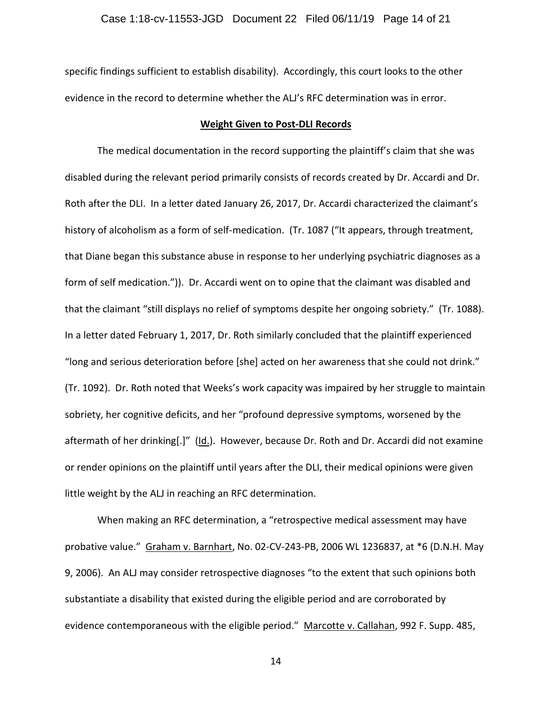specific findings sufficient to establish disability). Accordingly, this court looks to the other evidence in the record to determine whether the ALJ's RFC determination was in error.

#### **Weight Given to Post-DLI Records**

The medical documentation in the record supporting the plaintiff's claim that she was disabled during the relevant period primarily consists of records created by Dr. Accardi and Dr. Roth after the DLI. In a letter dated January 26, 2017, Dr. Accardi characterized the claimant's history of alcoholism as a form of self-medication. (Tr. 1087 ("It appears, through treatment, that Diane began this substance abuse in response to her underlying psychiatric diagnoses as a form of self medication.")). Dr. Accardi went on to opine that the claimant was disabled and that the claimant "still displays no relief of symptoms despite her ongoing sobriety." (Tr. 1088). In a letter dated February 1, 2017, Dr. Roth similarly concluded that the plaintiff experienced "long and serious deterioration before [she] acted on her awareness that she could not drink." (Tr. 1092). Dr. Roth noted that Weeks's work capacity was impaired by her struggle to maintain sobriety, her cognitive deficits, and her "profound depressive symptoms, worsened by the aftermath of her drinking[.]" (Id.). However, because Dr. Roth and Dr. Accardi did not examine or render opinions on the plaintiff until years after the DLI, their medical opinions were given little weight by the ALJ in reaching an RFC determination.

When making an RFC determination, a "retrospective medical assessment may have probative value." Graham v. Barnhart, No. 02-CV-243-PB, 2006 WL 1236837, at \*6 (D.N.H. May 9, 2006). An ALJ may consider retrospective diagnoses "to the extent that such opinions both substantiate a disability that existed during the eligible period and are corroborated by evidence contemporaneous with the eligible period." Marcotte v. Callahan, 992 F. Supp. 485,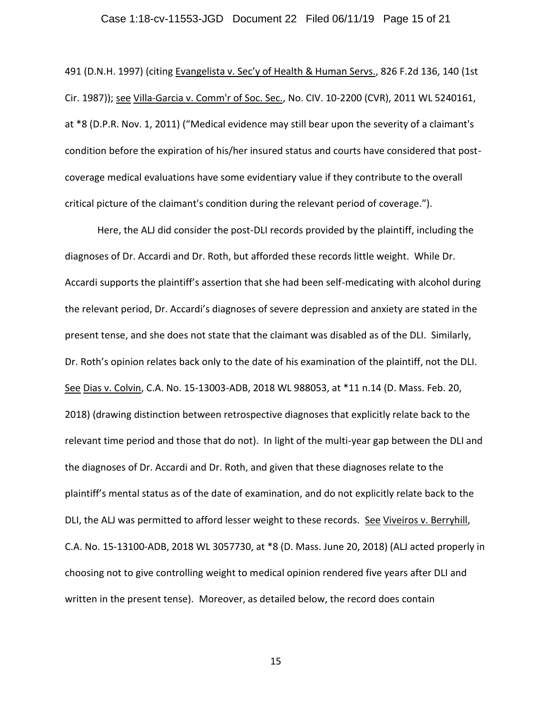## Case 1:18-cv-11553-JGD Document 22 Filed 06/11/19 Page 15 of 21

491 (D.N.H. 1997) (citing Evangelista v. Sec'y of Health & Human Servs., 826 F.2d 136, 140 (1st Cir. 1987)); see Villa-Garcia v. Comm'r of Soc. Sec., No. CIV. 10-2200 (CVR), 2011 WL 5240161, at \*8 (D.P.R. Nov. 1, 2011) ("Medical evidence may still bear upon the severity of a claimant's condition before the expiration of his/her insured status and courts have considered that postcoverage medical evaluations have some evidentiary value if they contribute to the overall critical picture of the claimant's condition during the relevant period of coverage.").

Here, the ALJ did consider the post-DLI records provided by the plaintiff, including the diagnoses of Dr. Accardi and Dr. Roth, but afforded these records little weight. While Dr. Accardi supports the plaintiff's assertion that she had been self-medicating with alcohol during the relevant period, Dr. Accardi's diagnoses of severe depression and anxiety are stated in the present tense, and she does not state that the claimant was disabled as of the DLI. Similarly, Dr. Roth's opinion relates back only to the date of his examination of the plaintiff, not the DLI. See Dias v. Colvin, C.A. No. 15-13003-ADB, 2018 WL 988053, at \*11 n.14 (D. Mass. Feb. 20, 2018) (drawing distinction between retrospective diagnoses that explicitly relate back to the relevant time period and those that do not). In light of the multi-year gap between the DLI and the diagnoses of Dr. Accardi and Dr. Roth, and given that these diagnoses relate to the plaintiff's mental status as of the date of examination, and do not explicitly relate back to the DLI, the ALJ was permitted to afford lesser weight to these records. See Viveiros v. Berryhill, C.A. No. 15-13100-ADB, 2018 WL 3057730, at \*8 (D. Mass. June 20, 2018) (ALJ acted properly in choosing not to give controlling weight to medical opinion rendered five years after DLI and written in the present tense). Moreover, as detailed below, the record does contain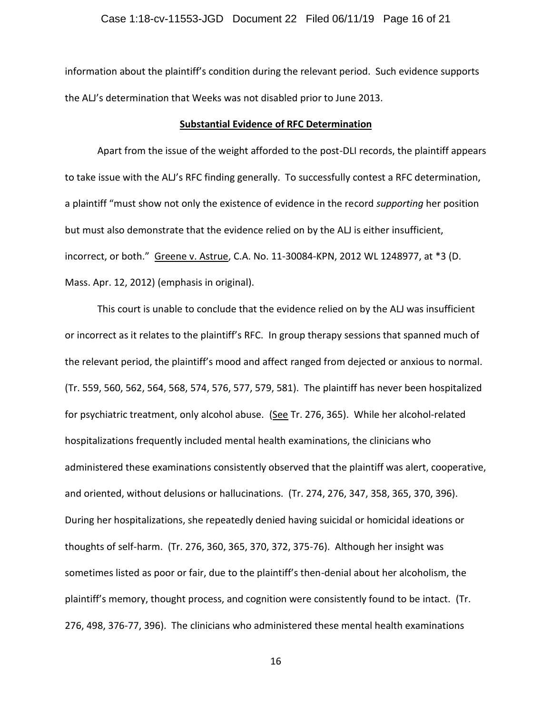information about the plaintiff's condition during the relevant period. Such evidence supports the ALJ's determination that Weeks was not disabled prior to June 2013.

#### **Substantial Evidence of RFC Determination**

Apart from the issue of the weight afforded to the post-DLI records, the plaintiff appears to take issue with the ALJ's RFC finding generally. To successfully contest a RFC determination, a plaintiff "must show not only the existence of evidence in the record *supporting* her position but must also demonstrate that the evidence relied on by the ALJ is either insufficient, incorrect, or both." Greene v. Astrue, C.A. No. 11-30084-KPN, 2012 WL 1248977, at \*3 (D. Mass. Apr. 12, 2012) (emphasis in original).

This court is unable to conclude that the evidence relied on by the ALJ was insufficient or incorrect as it relates to the plaintiff's RFC. In group therapy sessions that spanned much of the relevant period, the plaintiff's mood and affect ranged from dejected or anxious to normal. (Tr. 559, 560, 562, 564, 568, 574, 576, 577, 579, 581). The plaintiff has never been hospitalized for psychiatric treatment, only alcohol abuse. (See Tr. 276, 365). While her alcohol-related hospitalizations frequently included mental health examinations, the clinicians who administered these examinations consistently observed that the plaintiff was alert, cooperative, and oriented, without delusions or hallucinations. (Tr. 274, 276, 347, 358, 365, 370, 396). During her hospitalizations, she repeatedly denied having suicidal or homicidal ideations or thoughts of self-harm. (Tr. 276, 360, 365, 370, 372, 375-76). Although her insight was sometimes listed as poor or fair, due to the plaintiff's then-denial about her alcoholism, the plaintiff's memory, thought process, and cognition were consistently found to be intact. (Tr. 276, 498, 376-77, 396). The clinicians who administered these mental health examinations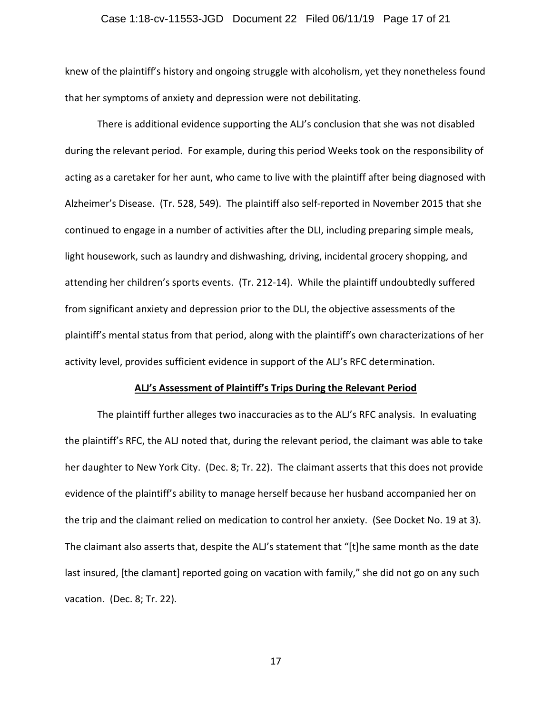## Case 1:18-cv-11553-JGD Document 22 Filed 06/11/19 Page 17 of 21

knew of the plaintiff's history and ongoing struggle with alcoholism, yet they nonetheless found that her symptoms of anxiety and depression were not debilitating.

There is additional evidence supporting the ALJ's conclusion that she was not disabled during the relevant period. For example, during this period Weeks took on the responsibility of acting as a caretaker for her aunt, who came to live with the plaintiff after being diagnosed with Alzheimer's Disease. (Tr. 528, 549). The plaintiff also self-reported in November 2015 that she continued to engage in a number of activities after the DLI, including preparing simple meals, light housework, such as laundry and dishwashing, driving, incidental grocery shopping, and attending her children's sports events. (Tr. 212-14). While the plaintiff undoubtedly suffered from significant anxiety and depression prior to the DLI, the objective assessments of the plaintiff's mental status from that period, along with the plaintiff's own characterizations of her activity level, provides sufficient evidence in support of the ALJ's RFC determination.

#### **ALJ's Assessment of Plaintiff's Trips During the Relevant Period**

The plaintiff further alleges two inaccuracies as to the ALJ's RFC analysis. In evaluating the plaintiff's RFC, the ALJ noted that, during the relevant period, the claimant was able to take her daughter to New York City. (Dec. 8; Tr. 22). The claimant asserts that this does not provide evidence of the plaintiff's ability to manage herself because her husband accompanied her on the trip and the claimant relied on medication to control her anxiety. (See Docket No. 19 at 3). The claimant also asserts that, despite the ALJ's statement that "[t]he same month as the date last insured, [the clamant] reported going on vacation with family," she did not go on any such vacation. (Dec. 8; Tr. 22).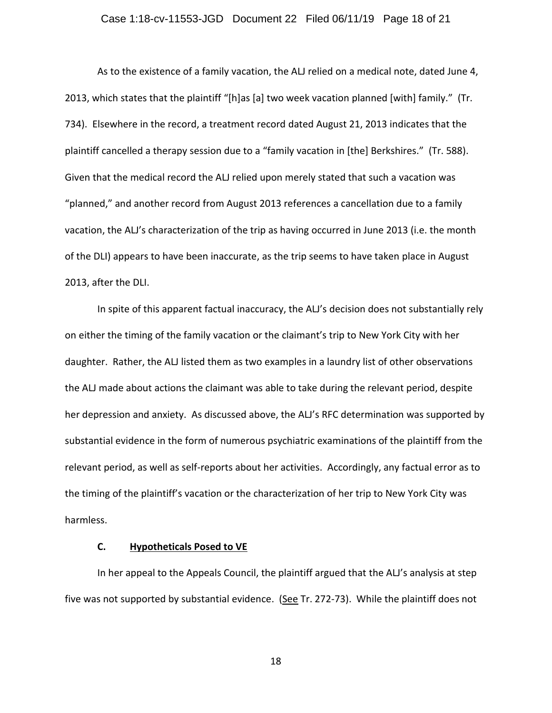## Case 1:18-cv-11553-JGD Document 22 Filed 06/11/19 Page 18 of 21

As to the existence of a family vacation, the ALJ relied on a medical note, dated June 4, 2013, which states that the plaintiff "[h]as [a] two week vacation planned [with] family." (Tr. 734). Elsewhere in the record, a treatment record dated August 21, 2013 indicates that the plaintiff cancelled a therapy session due to a "family vacation in [the] Berkshires." (Tr. 588). Given that the medical record the ALJ relied upon merely stated that such a vacation was "planned," and another record from August 2013 references a cancellation due to a family vacation, the ALJ's characterization of the trip as having occurred in June 2013 (i.e. the month of the DLI) appears to have been inaccurate, as the trip seems to have taken place in August 2013, after the DLI.

In spite of this apparent factual inaccuracy, the ALJ's decision does not substantially rely on either the timing of the family vacation or the claimant's trip to New York City with her daughter. Rather, the ALJ listed them as two examples in a laundry list of other observations the ALJ made about actions the claimant was able to take during the relevant period, despite her depression and anxiety. As discussed above, the ALJ's RFC determination was supported by substantial evidence in the form of numerous psychiatric examinations of the plaintiff from the relevant period, as well as self-reports about her activities. Accordingly, any factual error as to the timing of the plaintiff's vacation or the characterization of her trip to New York City was harmless.

## **C. Hypotheticals Posed to VE**

In her appeal to the Appeals Council, the plaintiff argued that the ALJ's analysis at step five was not supported by substantial evidence. (See Tr. 272-73). While the plaintiff does not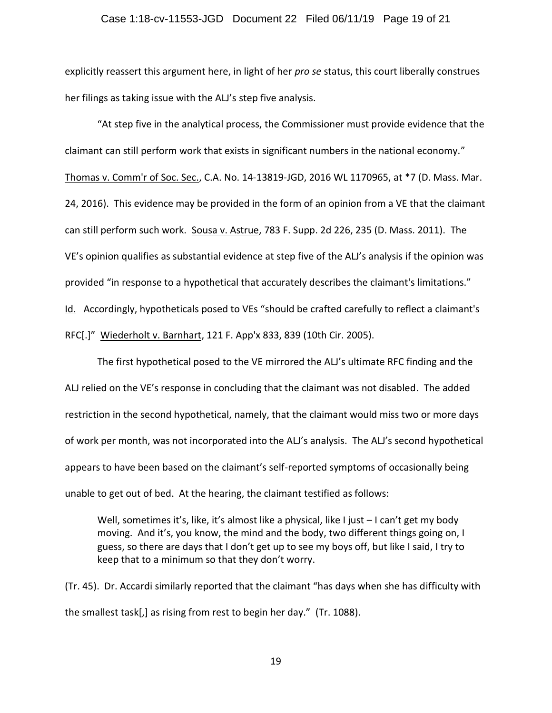## Case 1:18-cv-11553-JGD Document 22 Filed 06/11/19 Page 19 of 21

explicitly reassert this argument here, in light of her *pro se* status, this court liberally construes her filings as taking issue with the ALJ's step five analysis.

"At step five in the analytical process, the Commissioner must provide evidence that the claimant can still perform work that exists in significant numbers in the national economy." Thomas v. Comm'r of Soc. Sec., C.A. No. 14-13819-JGD, 2016 WL 1170965, at \*7 (D. Mass. Mar. 24, 2016). This evidence may be provided in the form of an opinion from a VE that the claimant can still perform such work. Sousa v. Astrue, 783 F. Supp. 2d 226, 235 (D. Mass. 2011). The VE's opinion qualifies as substantial evidence at step five of the ALJ's analysis if the opinion was provided "in response to a hypothetical that accurately describes the claimant's limitations." Id. Accordingly, hypotheticals posed to VEs "should be crafted carefully to reflect a claimant's RFC[.]" Wiederholt v. Barnhart, 121 F. App'x 833, 839 (10th Cir. 2005).

The first hypothetical posed to the VE mirrored the ALJ's ultimate RFC finding and the ALJ relied on the VE's response in concluding that the claimant was not disabled. The added restriction in the second hypothetical, namely, that the claimant would miss two or more days of work per month, was not incorporated into the ALJ's analysis. The ALJ's second hypothetical appears to have been based on the claimant's self-reported symptoms of occasionally being unable to get out of bed. At the hearing, the claimant testified as follows:

Well, sometimes it's, like, it's almost like a physical, like I just - I can't get my body moving. And it's, you know, the mind and the body, two different things going on, I guess, so there are days that I don't get up to see my boys off, but like I said, I try to keep that to a minimum so that they don't worry.

(Tr. 45). Dr. Accardi similarly reported that the claimant "has days when she has difficulty with the smallest task[,] as rising from rest to begin her day." (Tr. 1088).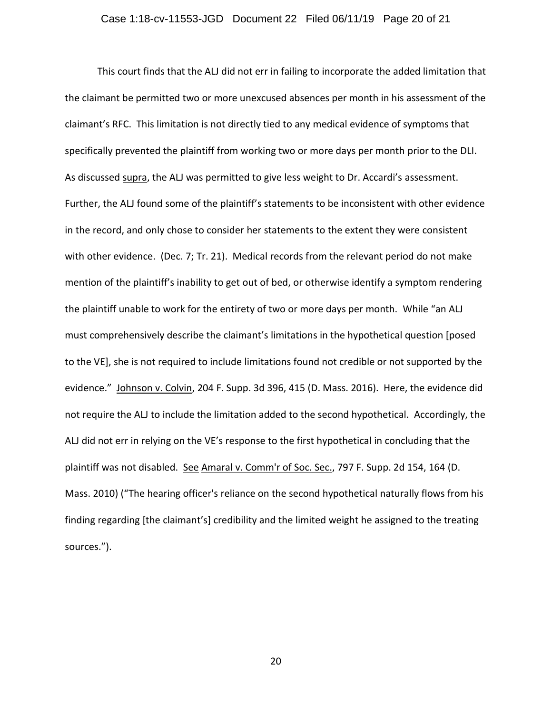This court finds that the ALJ did not err in failing to incorporate the added limitation that the claimant be permitted two or more unexcused absences per month in his assessment of the claimant's RFC. This limitation is not directly tied to any medical evidence of symptoms that specifically prevented the plaintiff from working two or more days per month prior to the DLI. As discussed supra, the ALJ was permitted to give less weight to Dr. Accardi's assessment. Further, the ALJ found some of the plaintiff's statements to be inconsistent with other evidence in the record, and only chose to consider her statements to the extent they were consistent with other evidence. (Dec. 7; Tr. 21). Medical records from the relevant period do not make mention of the plaintiff's inability to get out of bed, or otherwise identify a symptom rendering the plaintiff unable to work for the entirety of two or more days per month. While "an ALJ must comprehensively describe the claimant's limitations in the hypothetical question [posed to the VE], she is not required to include limitations found not credible or not supported by the evidence." Johnson v. Colvin, 204 F. Supp. 3d 396, 415 (D. Mass. 2016). Here, the evidence did not require the ALJ to include the limitation added to the second hypothetical. Accordingly, the ALJ did not err in relying on the VE's response to the first hypothetical in concluding that the plaintiff was not disabled. See Amaral v. Comm'r of Soc. Sec., 797 F. Supp. 2d 154, 164 (D. Mass. 2010) ("The hearing officer's reliance on the second hypothetical naturally flows from his finding regarding [the claimant's] credibility and the limited weight he assigned to the treating sources.").